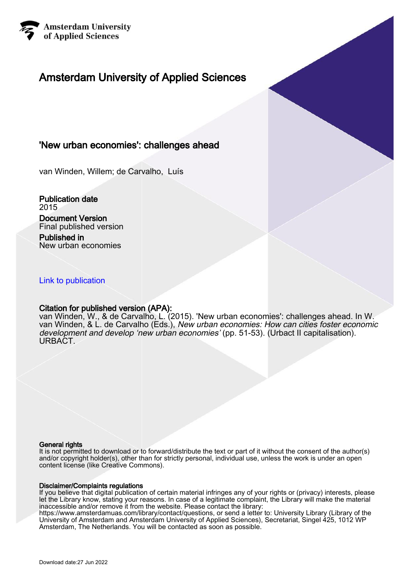

## Amsterdam University of Applied Sciences

## 'New urban economies': challenges ahead

van Winden, Willem; de Carvalho, Luís

Publication date 2015

### Document Version Final published version

Published in New urban economies

## [Link to publication](https://research.hva.nl/en/publications/096b74c4-069c-4dd2-b849-4fefb2633668)

## Citation for published version (APA):

van Winden, W., & de Carvalho, L. (2015). 'New urban economies': challenges ahead. In W. van Winden, & L. de Carvalho (Eds.), *New urban economies: How can cities foster economic* development and develop 'new urban economies' (pp. 51-53). (Urbact II capitalisation). URBACT.

### General rights

It is not permitted to download or to forward/distribute the text or part of it without the consent of the author(s) and/or copyright holder(s), other than for strictly personal, individual use, unless the work is under an open content license (like Creative Commons).

### Disclaimer/Complaints regulations

If you believe that digital publication of certain material infringes any of your rights or (privacy) interests, please let the Library know, stating your reasons. In case of a legitimate complaint, the Library will make the material inaccessible and/or remove it from the website. Please contact the library:

https://www.amsterdamuas.com/library/contact/questions, or send a letter to: University Library (Library of the University of Amsterdam and Amsterdam University of Applied Sciences), Secretariat, Singel 425, 1012 WP Amsterdam, The Netherlands. You will be contacted as soon as possible.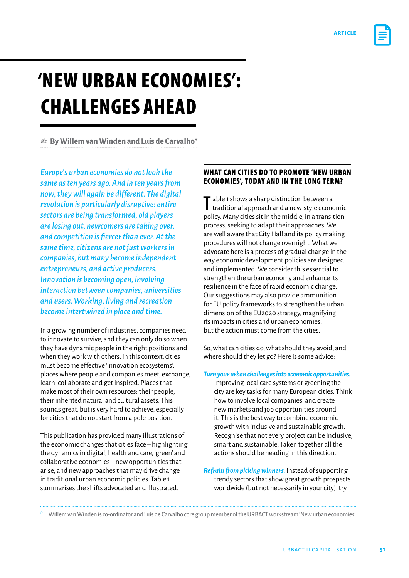

# 'New urban economies': Challenges ahead

✍ **By Willem van Winden and Luís de Carvalho\***

*Europe's urban economies do not look the same as ten years ago. And in ten years from now,theywill again be different. The digital revolution is particularly disruptive: entire sectors are being transformed, old players are losing out, newcomers are taking over, and competition is fiercerthan ever.Atthe same time, citizens are not just workers in companies, but many become independent entrepreneurs, and active producers. Innovation is becoming open, involving interaction between companies, universities and users. Working, living and recreation become intertwined in place and time.*

In a growing number of industries, companies need to innovate to survive, and they can only do so when they have dynamic people in the right positions and when they work with others. In this context, cities must become effective 'innovation ecosystems', places where people and companies meet, exchange, learn, collaborate and get inspired. Places that make most of their own resources: their people, their inherited natural and cultural assets. This sounds great, but is very hard to achieve, especially for cities that do not start from a pole position.

This publication has provided many illustrations of the economic changes that cities face – highlighting the dynamics in digital, health and care, 'green' and collaborative economies – new opportunities that arise, and new approaches that may drive change in traditional urban economic policies. Table 1 summarises the shifts advocated and illustrated.

## WHAT CAN CITIES DO TO PROMOTE 'NEW URBAN economies', today and in the long term?

T able 1 shows a sharp distinction between a<br>traditional approach and a new-style economy traditional approach and a new-style economic policy. Many cities sit in the middle, in a transition process, seeking to adapt their approaches. We are well aware that City Hall and its policy making procedures will not change overnight. What we advocate here is a process of gradual change in the way economic development policies are designed and implemented. We consider this essential to strengthen the urban economy and enhance its resilience in the face of rapid economic change. Our suggestions may also provide ammunition for EU policy frameworks to strengthen the urban dimension of the EU2020 strategy, magnifying its impacts in cities and urban economies; but the action must come from the cities.

So, what can cities do, what should they avoid, and where should they let go? Here is some advice:

*Turn your urban challenges into economic opportunities.*  Improving local care systems or greening the city are key tasks for many European cities. Think how to involve local companies, and create new markets and job opportunities around it. This is the best way to combine economic growth with inclusive and sustainable growth. Recognise that not every project can be inclusive, smart and sustainable. Taken together all the actions should be heading in this direction.

*Refrain from picking winners.* Instead of supporting trendy sectors that show great growth prospects worldwide (but not necessarily in your city), try

\* Willem van Winden is co-ordinator and Luís de Carvalho core group member of the URBACT workstream 'New urban economies'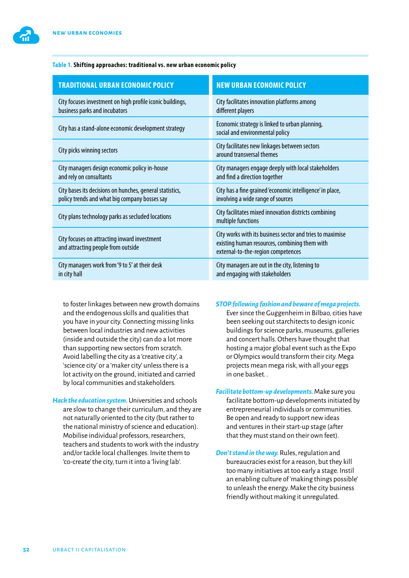

| <b>TRADITIONAL URBAN ECONOMIC POLICY</b>                                                                  | <b>NEW URBAN ECONOMIC POLICY</b>                                                                                                                 |
|-----------------------------------------------------------------------------------------------------------|--------------------------------------------------------------------------------------------------------------------------------------------------|
| City focuses investment on high profile iconic buildings,<br>business parks and incubators                | City facilitates innovation platforms among<br>different players                                                                                 |
| City has a stand-alone economic development strategy                                                      | Economic strategy is linked to urban planning,<br>social and environmental policy                                                                |
| City picks winning sectors                                                                                | City facilitates new linkages between sectors<br>around transversal themes                                                                       |
| City managers design economic policy in-house<br>and rely on consultants                                  | City managers engage deeply with local stakeholders<br>and find a direction together                                                             |
| City bases its decisions on hunches, general statistics,<br>policy trends and what big company bosses say | City has a fine grained 'economic intelligence' in place,<br>involving a wide range of sources                                                   |
| City plans technology parks as secluded locations                                                         | City facilitates mixed innovation districts combining<br>multiple functions                                                                      |
| City focuses on attracting inward investment<br>and attracting people from outside                        | City works with its business sector and tries to maximise<br>existing human resources, combining them with<br>external-to-the-region competences |
| City managers work from '9 to 5' at their desk<br>in city hall                                            | City managers are out in the city, listening to<br>and engaging with stakeholders                                                                |

to foster linkages between new growth domains and the endogenous skills and qualities that you have in your city. Connecting missing links between local industries and new activities (inside and outside the city) can do a lot more than supporting new sectors from scratch. Avoid labelling the city as a 'creative city', a 'science city' or a 'maker city' unless there is a lot activity on the ground, initiated and carried by local communities and stakeholders.

*Hack the education system.* Universities and schools are slow to change their curriculum, and they are not naturally oriented to the city (but rather to the national ministry of science and education). Mobilise individual professors, researchers, teachers and students to work with the industry and/or tackle local challenges. Invite them to 'co-create' the city, turn it into a 'living lab'.

#### *STOP following fashion and beware of mega projects.*

Ever since the Guggenheim in Bilbao, cities have been seeking out starchitects to design iconic buildings for science parks, museums, galleries and concert halls. Others have thought that hosting a major global event such as the Expo or Olympics would transform their city. Mega projects mean mega risk, with all your eggs in one basket. .

- *Facilitate bottom-up developments.* Make sure you facilitate bottom-up developments initiated by entrepreneurial individuals or communities. Be open and ready to support new ideas and ventures in their start-up stage (after that they must stand on their own feet).
- *Don't stand in the way.* Rules, regulation and bureaucracies exist for a reason, but they kill too many initiatives at too early a stage. Instil an enabling culture of 'making things possible' to unleash the energy. Make the city business friendly without making it unregulated.